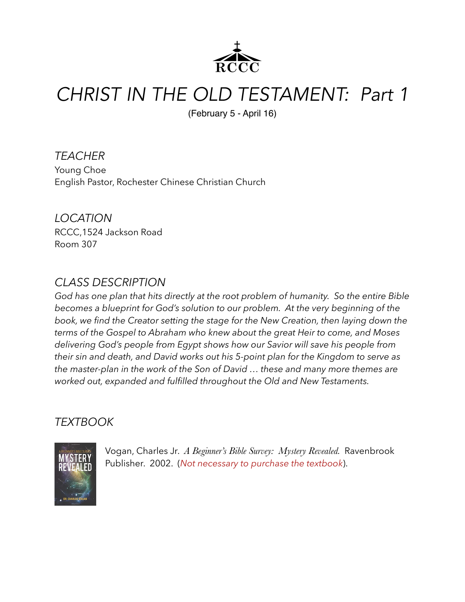

## *CHRIST IN THE OLD TESTAMENT: Part 1*

(February 5 - April 16)

*TEACHER*  Young Choe English Pastor, Rochester Chinese Christian Church

*LOCATION*  RCCC,1524 Jackson Road Room 307

## *CLASS DESCRIPTION*

*God has one plan that hits directly at the root problem of humanity. So the entire Bible becomes a blueprint for God's solution to our problem. At the very beginning of the book, we find the Creator setting the stage for the New Creation, then laying down the terms of the Gospel to Abraham who knew about the great Heir to come, and Moses delivering God's people from Egypt shows how our Savior will save his people from their sin and death, and David works out his 5-point plan for the Kingdom to serve as the master-plan in the work of the Son of David … these and many more themes are worked out, expanded and fulfilled throughout the Old and New Testaments.* 

## *TEXTBOOK*



Vogan, Charles Jr. *A Beginner's Bible Survey: Mystery Revealed.* Ravenbrook Publisher. 2002. (*Not necessary to purchase the textbook*).